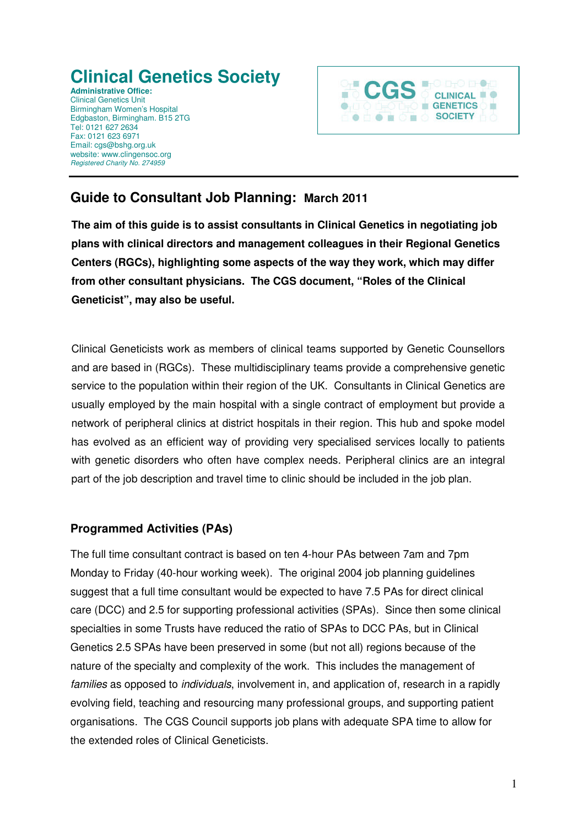# **Clinical Genetics Society**

**Administrative Office:**  Clinical Genetics Unit Birmingham Women's Hospital Edgbaston, Birmingham. B15 2TG Tel: 0121 627 2634 Fax: 0121 623 6971 Email: cgs@bshg.org.uk website: www.clingensoc.org Registered Charity No. 274959



# **Guide to Consultant Job Planning: March 2011**

**The aim of this guide is to assist consultants in Clinical Genetics in negotiating job plans with clinical directors and management colleagues in their Regional Genetics Centers (RGCs), highlighting some aspects of the way they work, which may differ from other consultant physicians. The CGS document, "Roles of the Clinical Geneticist", may also be useful.** 

Clinical Geneticists work as members of clinical teams supported by Genetic Counsellors and are based in (RGCs). These multidisciplinary teams provide a comprehensive genetic service to the population within their region of the UK. Consultants in Clinical Genetics are usually employed by the main hospital with a single contract of employment but provide a network of peripheral clinics at district hospitals in their region. This hub and spoke model has evolved as an efficient way of providing very specialised services locally to patients with genetic disorders who often have complex needs. Peripheral clinics are an integral part of the job description and travel time to clinic should be included in the job plan.

## **Programmed Activities (PAs)**

The full time consultant contract is based on ten 4-hour PAs between 7am and 7pm Monday to Friday (40-hour working week). The original 2004 job planning guidelines suggest that a full time consultant would be expected to have 7.5 PAs for direct clinical care (DCC) and 2.5 for supporting professional activities (SPAs). Since then some clinical specialties in some Trusts have reduced the ratio of SPAs to DCC PAs, but in Clinical Genetics 2.5 SPAs have been preserved in some (but not all) regions because of the nature of the specialty and complexity of the work. This includes the management of families as opposed to *individuals*, involvement in, and application of, research in a rapidly evolving field, teaching and resourcing many professional groups, and supporting patient organisations. The CGS Council supports job plans with adequate SPA time to allow for the extended roles of Clinical Geneticists.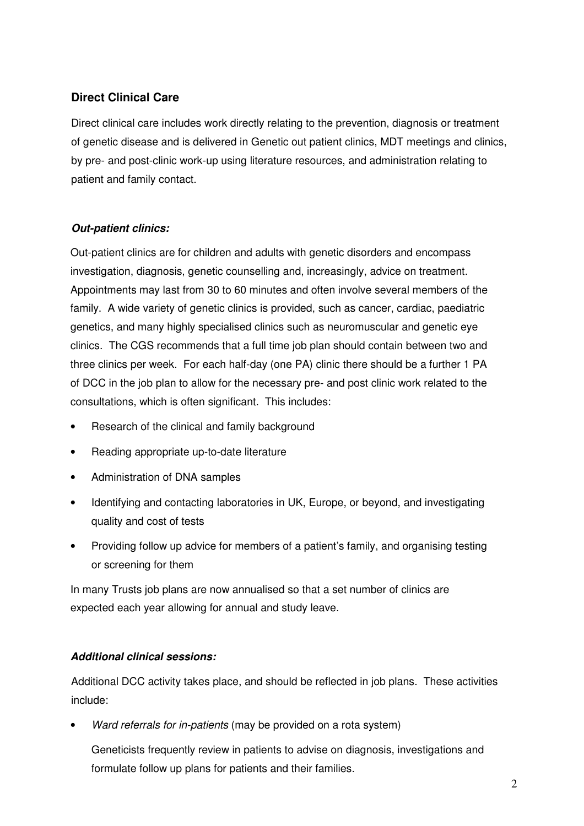# **Direct Clinical Care**

Direct clinical care includes work directly relating to the prevention, diagnosis or treatment of genetic disease and is delivered in Genetic out patient clinics, MDT meetings and clinics, by pre- and post-clinic work-up using literature resources, and administration relating to patient and family contact.

#### **Out-patient clinics:**

Out-patient clinics are for children and adults with genetic disorders and encompass investigation, diagnosis, genetic counselling and, increasingly, advice on treatment. Appointments may last from 30 to 60 minutes and often involve several members of the family. A wide variety of genetic clinics is provided, such as cancer, cardiac, paediatric genetics, and many highly specialised clinics such as neuromuscular and genetic eye clinics. The CGS recommends that a full time job plan should contain between two and three clinics per week. For each half-day (one PA) clinic there should be a further 1 PA of DCC in the job plan to allow for the necessary pre- and post clinic work related to the consultations, which is often significant. This includes:

- Research of the clinical and family background
- Reading appropriate up-to-date literature
- Administration of DNA samples
- Identifying and contacting laboratories in UK, Europe, or beyond, and investigating quality and cost of tests
- Providing follow up advice for members of a patient's family, and organising testing or screening for them

In many Trusts job plans are now annualised so that a set number of clinics are expected each year allowing for annual and study leave.

#### **Additional clinical sessions:**

Additional DCC activity takes place, and should be reflected in job plans. These activities include:

Ward referrals for in-patients (may be provided on a rota system)

Geneticists frequently review in patients to advise on diagnosis, investigations and formulate follow up plans for patients and their families.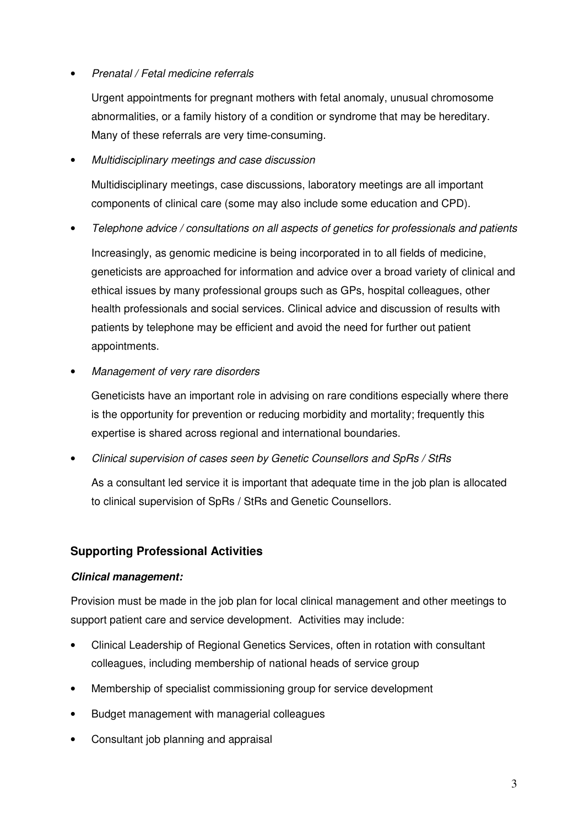#### • Prenatal / Fetal medicine referrals

 Urgent appointments for pregnant mothers with fetal anomaly, unusual chromosome abnormalities, or a family history of a condition or syndrome that may be hereditary. Many of these referrals are very time-consuming.

#### • Multidisciplinary meetings and case discussion

Multidisciplinary meetings, case discussions, laboratory meetings are all important components of clinical care (some may also include some education and CPD).

- Telephone advice / consultations on all aspects of genetics for professionals and patients Increasingly, as genomic medicine is being incorporated in to all fields of medicine, geneticists are approached for information and advice over a broad variety of clinical and ethical issues by many professional groups such as GPs, hospital colleagues, other health professionals and social services. Clinical advice and discussion of results with patients by telephone may be efficient and avoid the need for further out patient appointments.
- Management of very rare disorders

Geneticists have an important role in advising on rare conditions especially where there is the opportunity for prevention or reducing morbidity and mortality; frequently this expertise is shared across regional and international boundaries.

• Clinical supervision of cases seen by Genetic Counsellors and SpRs / StRs

As a consultant led service it is important that adequate time in the job plan is allocated to clinical supervision of SpRs / StRs and Genetic Counsellors.

## **Supporting Professional Activities**

#### **Clinical management:**

Provision must be made in the job plan for local clinical management and other meetings to support patient care and service development. Activities may include:

- Clinical Leadership of Regional Genetics Services, often in rotation with consultant colleagues, including membership of national heads of service group
- Membership of specialist commissioning group for service development
- Budget management with managerial colleagues
- Consultant job planning and appraisal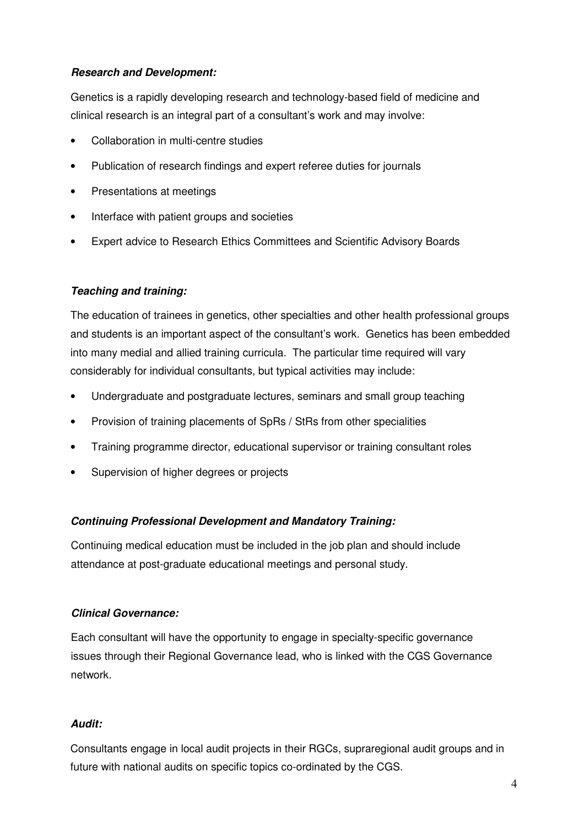#### **Research and Development:**

Genetics is a rapidly developing research and technology-based field of medicine and clinical research is an integral part of a consultant's work and may involve:

- Collaboration in multi-centre studies
- Publication of research findings and expert referee duties for journals
- Presentations at meetings
- Interface with patient groups and societies
- Expert advice to Research Ethics Committees and Scientific Advisory Boards

#### **Teaching and training:**

The education of trainees in genetics, other specialties and other health professional groups and students is an important aspect of the consultant's work. Genetics has been embedded into many medial and allied training curricula. The particular time required will vary considerably for individual consultants, but typical activities may include:

- Undergraduate and postgraduate lectures, seminars and small group teaching
- Provision of training placements of SpRs / StRs from other specialities
- Training programme director, educational supervisor or training consultant roles
- Supervision of higher degrees or projects

#### **Continuing Professional Development and Mandatory Training:**

Continuing medical education must be included in the job plan and should include attendance at post-graduate educational meetings and personal study.

#### **Clinical Governance:**

Each consultant will have the opportunity to engage in specialty-specific governance issues through their Regional Governance lead, who is linked with the CGS Governance network.

#### **Audit:**

Consultants engage in local audit projects in their RGCs, supraregional audit groups and in future with national audits on specific topics co-ordinated by the CGS.